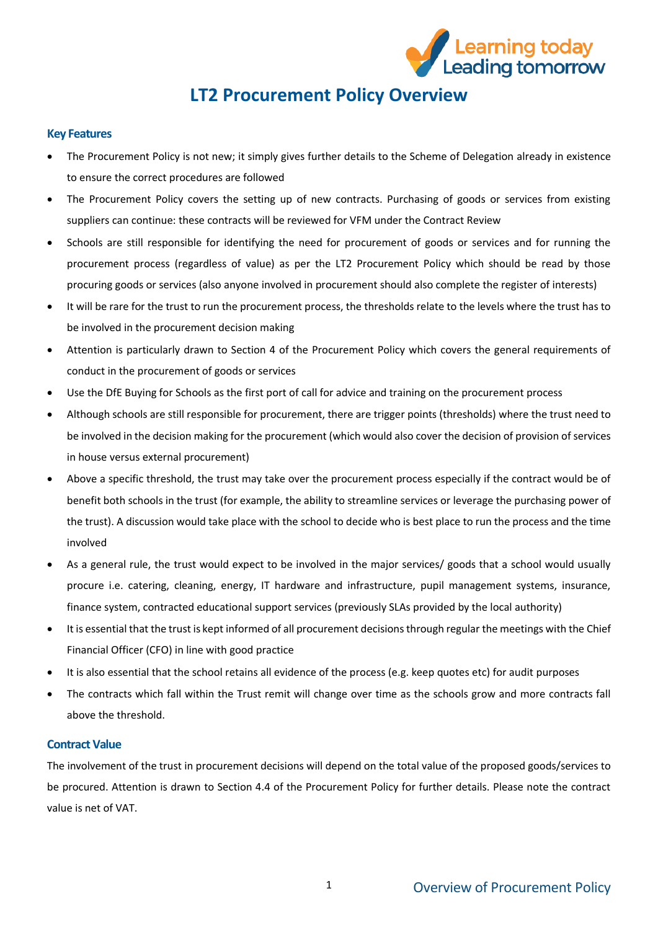

# **LT2 Procurement Policy Overview**

## **Key Features**

- The Procurement Policy is not new; it simply gives further details to the Scheme of Delegation already in existence to ensure the correct procedures are followed
- The Procurement Policy covers the setting up of new contracts. Purchasing of goods or services from existing suppliers can continue: these contracts will be reviewed for VFM under the Contract Review
- Schools are still responsible for identifying the need for procurement of goods or services and for running the procurement process (regardless of value) as per the LT2 Procurement Policy which should be read by those procuring goods or services (also anyone involved in procurement should also complete the register of interests)
- It will be rare for the trust to run the procurement process, the thresholds relate to the levels where the trust has to be involved in the procurement decision making
- Attention is particularly drawn to Section 4 of the Procurement Policy which covers the general requirements of conduct in the procurement of goods or services
- Use the DfE Buying for Schools as the first port of call for advice and training on the procurement process
- Although schools are still responsible for procurement, there are trigger points (thresholds) where the trust need to be involved in the decision making for the procurement (which would also cover the decision of provision of services in house versus external procurement)
- Above a specific threshold, the trust may take over the procurement process especially if the contract would be of benefit both schools in the trust (for example, the ability to streamline services or leverage the purchasing power of the trust). A discussion would take place with the school to decide who is best place to run the process and the time involved
- As a general rule, the trust would expect to be involved in the major services/ goods that a school would usually procure i.e. catering, cleaning, energy, IT hardware and infrastructure, pupil management systems, insurance, finance system, contracted educational support services (previously SLAs provided by the local authority)
- It is essential that the trust is kept informed of all procurement decisions through regular the meetings with the Chief Financial Officer (CFO) in line with good practice
- It is also essential that the school retains all evidence of the process (e.g. keep quotes etc) for audit purposes
- The contracts which fall within the Trust remit will change over time as the schools grow and more contracts fall above the threshold.

#### **Contract Value**

The involvement of the trust in procurement decisions will depend on the total value of the proposed goods/services to be procured. Attention is drawn to Section 4.4 of the Procurement Policy for further details. Please note the contract value is net of VAT.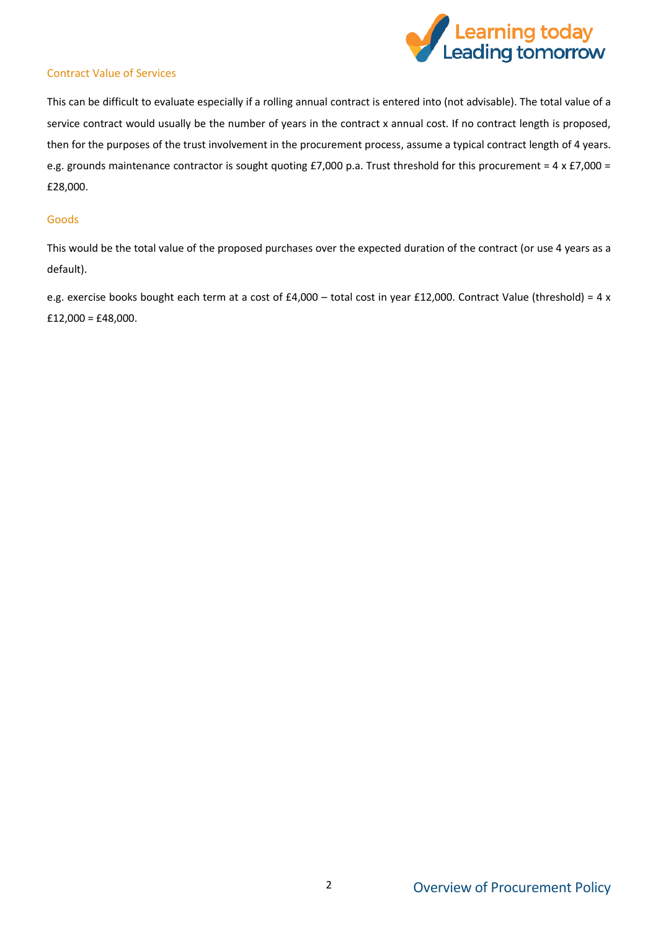

## Contract Value of Services

This can be difficult to evaluate especially if a rolling annual contract is entered into (not advisable). The total value of a service contract would usually be the number of years in the contract x annual cost. If no contract length is proposed, then for the purposes of the trust involvement in the procurement process, assume a typical contract length of 4 years. e.g. grounds maintenance contractor is sought quoting £7,000 p.a. Trust threshold for this procurement =  $4 \times £7,000 =$ £28,000.

#### Goods

This would be the total value of the proposed purchases over the expected duration of the contract (or use 4 years as a default).

e.g. exercise books bought each term at a cost of £4,000 – total cost in year £12,000. Contract Value (threshold) = 4 x  $£12,000 = £48,000.$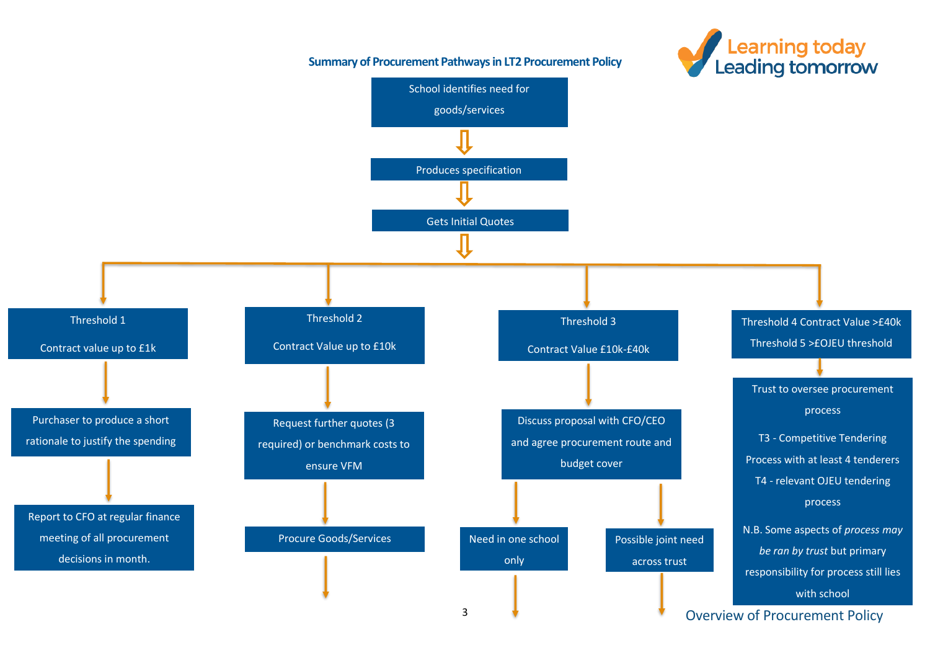

## **Summary of Procurement Pathways in LT2 Procurement Policy**